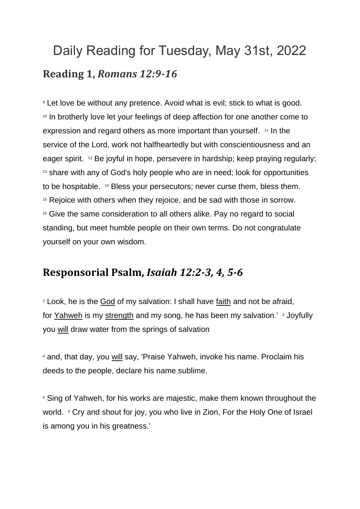## Daily Reading for Tuesday, May 31st, 2022 **Reading 1,** *Romans 12:9-16*

<sup>9</sup> Let love be without any pretence. Avoid what is evil; stick to what is good. <sup>10</sup> In brotherly love let your feelings of deep affection for one another come to expression and regard others as more important than yourself. <sup>11</sup> In the service of the Lord, work not halfheartedly but with conscientiousness and an eager spirit. <sup>12</sup> Be joyful in hope, persevere in hardship; keep praying regularly; <sup>13</sup> share with any of God's holy people who are in need; look for opportunities to be hospitable. <sup>14</sup> Bless your persecutors; never curse them, bless them. <sup>15</sup> Rejoice with others when they rejoice, and be sad with those in sorrow. <sup>16</sup> Give the same consideration to all others alike. Pay no regard to social standing, but meet humble people on their own terms. Do not congratulate yourself on your own wisdom.

## **Responsorial Psalm,** *Isaiah 12:2-3, 4, 5-6*

<sup>2</sup> Look, he is the [God](https://www.catholic.org/encyclopedia/view.php?id=5217) of my salvation: I shall have [faith](https://www.catholic.org/encyclopedia/view.php?id=4554) and not be afraid, for [Yahweh](https://www.catholic.org/encyclopedia/view.php?id=6291) is my [strength](https://www.catholic.org/prayers/prayer.php?p=2917) and my song, he has been my salvation.' <sup>3</sup> Joyfully you [will](https://www.catholic.org/encyclopedia/view.php?id=12332) draw water from the springs of salvation

<sup>4</sup> and, that day, you [will](https://www.catholic.org/encyclopedia/view.php?id=12332) say, 'Praise Yahweh, invoke his name. Proclaim his deeds to the people, declare his name sublime.

<sup>5</sup> Sing of Yahweh, for his works are majestic, make them known throughout the world. <sup>6</sup> Cry and shout for joy, you who live in Zion, For the Holy One of Israel is among you in his greatness.'